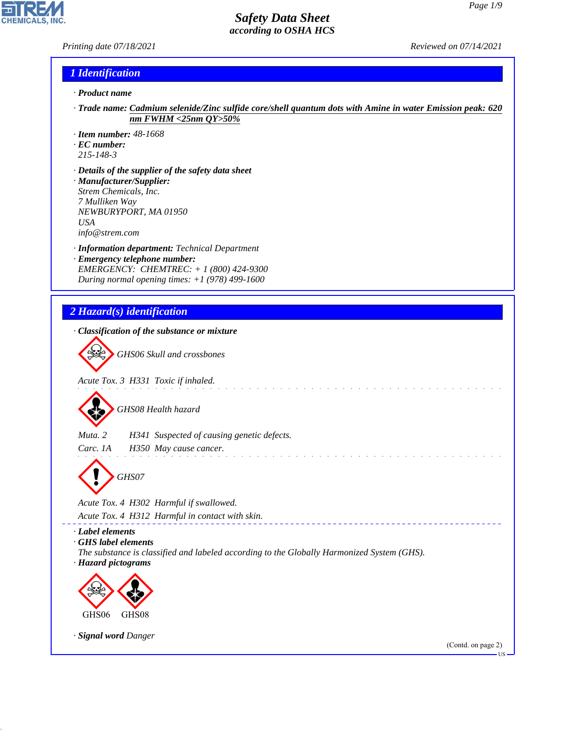*Printing date 07/18/2021 Reviewed on 07/14/2021*

**CHEMICALS** 

### *1 Identification*

- *· Product name*
- *· Trade name: Cadmium selenide/Zinc sulfide core/shell quantum dots with Amine in water Emission peak: 620 nm FWHM <25nm QY>50%*
- *· Item number: 48-1668*
- *· EC number:*
- *215-148-3*

44.1.1

- *· Details of the supplier of the safety data sheet · Manufacturer/Supplier: Strem Chemicals, Inc. 7 Mulliken Way NEWBURYPORT, MA 01950 USA info@strem.com*
- *· Information department: Technical Department · Emergency telephone number: EMERGENCY: CHEMTREC: + 1 (800) 424-9300 During normal opening times: +1 (978) 499-1600*
- *2 Hazard(s) identification · Classification of the substance or mixture* d~*GHS06 Skull and crossbones Acute Tox. 3 H331 Toxic if inhaled.* d~*GHS08 Health hazard Muta. 2 H341 Suspected of causing genetic defects. Carc. 1A H350 May cause cancer.* والمتحال والمتحالة والمتحالة d~*GHS07 Acute Tox. 4 H302 Harmful if swallowed. Acute Tox. 4 H312 Harmful in contact with skin. · Label elements · GHS label elements The substance is classified and labeled according to the Globally Harmonized System (GHS). · Hazard pictograms* **design de la comparativa de la comparativa de la comparativa de la comparativa de la comparativa de la comparativa de la comparativa de la comparativa de la comparativa de la comparativa de la comparativa de la comparativa de la** GHS06 GHS08 *· Signal word Danger* (Contd. on page 2)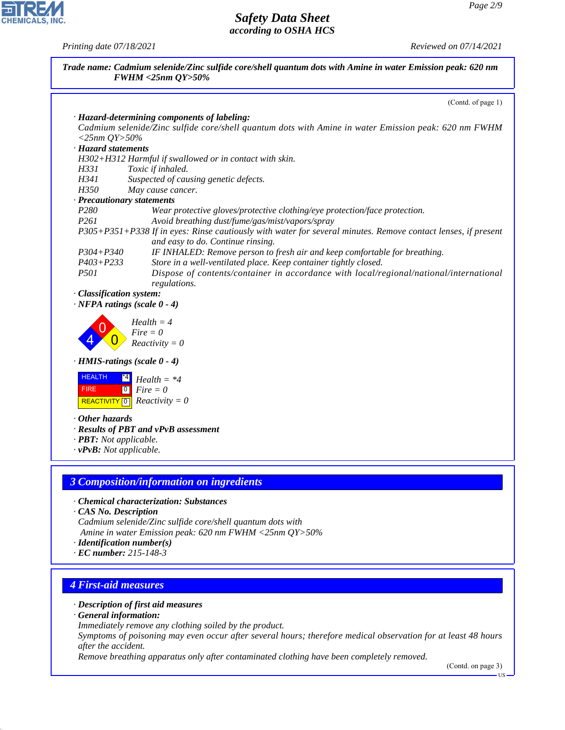ᄀ

**CHEMICALS, INC.** 

*Printing date 07/18/2021 Reviewed on 07/14/2021*

|                               | Trade name: Cadmium selenide/Zinc sulfide core/shell quantum dots with Amine in water Emission peak: 620 nm<br><b>FWHM &lt;25nm QY&gt;50%</b> |
|-------------------------------|-----------------------------------------------------------------------------------------------------------------------------------------------|
|                               | (Contd. of page 1)                                                                                                                            |
|                               | · Hazard-determining components of labeling:                                                                                                  |
|                               | Cadmium selenide/Zinc sulfide core/shell quantum dots with Amine in water Emission peak: 620 nm FWHM                                          |
| $<$ 25nm QY>50%               |                                                                                                                                               |
| · Hazard statements           |                                                                                                                                               |
|                               | H302+H312 Harmful if swallowed or in contact with skin.                                                                                       |
| H331                          | Toxic if inhaled.                                                                                                                             |
| H341                          | Suspected of causing genetic defects.                                                                                                         |
| H350                          | May cause cancer.                                                                                                                             |
|                               | · Precautionary statements                                                                                                                    |
| P280                          | Wear protective gloves/protective clothing/eye protection/face protection.                                                                    |
| P <sub>261</sub>              | Avoid breathing dust/fume/gas/mist/vapors/spray                                                                                               |
|                               | P305+P351+P338 If in eyes: Rinse cautiously with water for several minutes. Remove contact lenses, if present                                 |
|                               | and easy to do. Continue rinsing.                                                                                                             |
| $P304 + P340$                 | IF INHALED: Remove person to fresh air and keep comfortable for breathing.                                                                    |
| $P403 + P233$                 | Store in a well-ventilated place. Keep container tightly closed.                                                                              |
| <i>P501</i>                   | Dispose of contents/container in accordance with local/regional/national/international                                                        |
| · Classification system:      | regulations.                                                                                                                                  |
|                               | $\cdot$ NFPA ratings (scale 0 - 4)                                                                                                            |
|                               | $Health = 4$                                                                                                                                  |
|                               | $Fire = 0$                                                                                                                                    |
|                               | $Reactivity = 0$                                                                                                                              |
|                               | $\cdot$ HMIS-ratings (scale 0 - 4)                                                                                                            |
|                               |                                                                                                                                               |
| <b>HEALTH</b>                 | $Health = *4$                                                                                                                                 |
| <b>FIRE</b>                   | $Fire = 0$<br> 0                                                                                                                              |
| REACTIVITY <sup>0</sup>       | $Reactivity = 0$                                                                                                                              |
| $\cdot$ Other hazards         |                                                                                                                                               |
|                               | · Results of PBT and vPvB assessment                                                                                                          |
| · PBT: Not applicable.        |                                                                                                                                               |
| $\cdot$ vPvB: Not applicable. |                                                                                                                                               |
|                               |                                                                                                                                               |
|                               | <b>3 Composition/information on ingredients</b>                                                                                               |
|                               | · Chemical characterization: Substances                                                                                                       |
| CAS No. Description           |                                                                                                                                               |
|                               | Cadmium selenide/Zinc sulfide core/shell quantum dots with                                                                                    |
|                               | Amine in water Emission peak: 620 nm FWHM <25nm $QY>50\%$                                                                                     |
|                               | $\cdot$ Identification number(s)<br>$\cdot$ EC number: 215-148-3                                                                              |
|                               |                                                                                                                                               |
|                               |                                                                                                                                               |
| <b>4 First-aid measures</b>   |                                                                                                                                               |
|                               | · Description of first aid measures                                                                                                           |

*· General information:*

44.1.1

*Immediately remove any clothing soiled by the product.*

*Symptoms of poisoning may even occur after several hours; therefore medical observation for at least 48 hours after the accident.*

*Remove breathing apparatus only after contaminated clothing have been completely removed.*

(Contd. on page 3)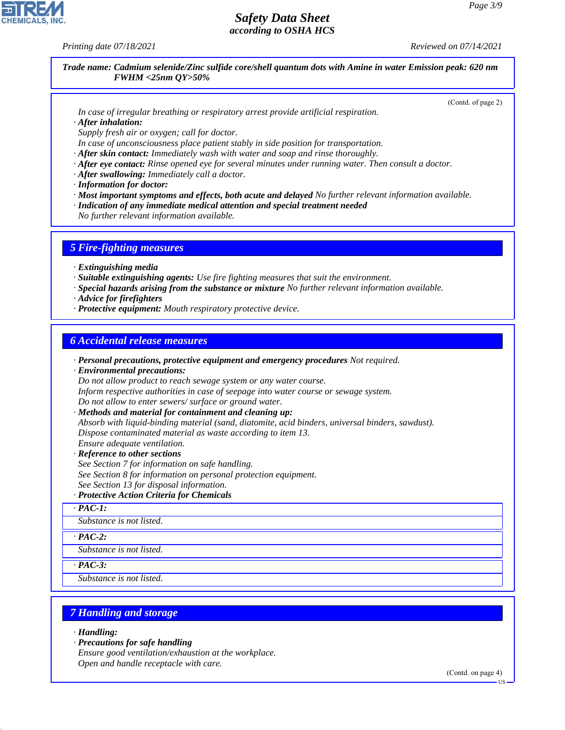*Printing date 07/18/2021 Reviewed on 07/14/2021*

*Trade name: Cadmium selenide/Zinc sulfide core/shell quantum dots with Amine in water Emission peak: 620 nm FWHM <25nm QY>50%*

(Contd. of page 2)

*In case of irregular breathing or respiratory arrest provide artificial respiration. · After inhalation:*

*Supply fresh air or oxygen; call for doctor.*

*In case of unconsciousness place patient stably in side position for transportation.*

*· After skin contact: Immediately wash with water and soap and rinse thoroughly.*

- *· After eye contact: Rinse opened eye for several minutes under running water. Then consult a doctor.*
- *· After swallowing: Immediately call a doctor.*
- *· Information for doctor:*
- *· Most important symptoms and effects, both acute and delayed No further relevant information available.*
- *· Indication of any immediate medical attention and special treatment needed*
- *No further relevant information available.*

### *5 Fire-fighting measures*

- *· Extinguishing media*
- *· Suitable extinguishing agents: Use fire fighting measures that suit the environment.*
- *· Special hazards arising from the substance or mixture No further relevant information available.*
- *· Advice for firefighters*
- *· Protective equipment: Mouth respiratory protective device.*

### *6 Accidental release measures*

*· Personal precautions, protective equipment and emergency procedures Not required.*

*· Environmental precautions:*

*Do not allow product to reach sewage system or any water course.*

*Inform respective authorities in case of seepage into water course or sewage system.*

*Do not allow to enter sewers/ surface or ground water.*

- *· Methods and material for containment and cleaning up:*
- *Absorb with liquid-binding material (sand, diatomite, acid binders, universal binders, sawdust).*
- *Dispose contaminated material as waste according to item 13.*
- *Ensure adequate ventilation.*
- *· Reference to other sections*
- *See Section 7 for information on safe handling.*
- *See Section 8 for information on personal protection equipment.*
- *See Section 13 for disposal information.*

### *· Protective Action Criteria for Chemicals*

*· PAC-1:*

*Substance is not listed.*

#### *· PAC-2:*

*Substance is not listed.*

*· PAC-3:*

*Substance is not listed.*

# *7 Handling and storage*

*· Handling:*

44.1.1

*· Precautions for safe handling*

*Ensure good ventilation/exhaustion at the workplace. Open and handle receptacle with care.*

(Contd. on page 4)

US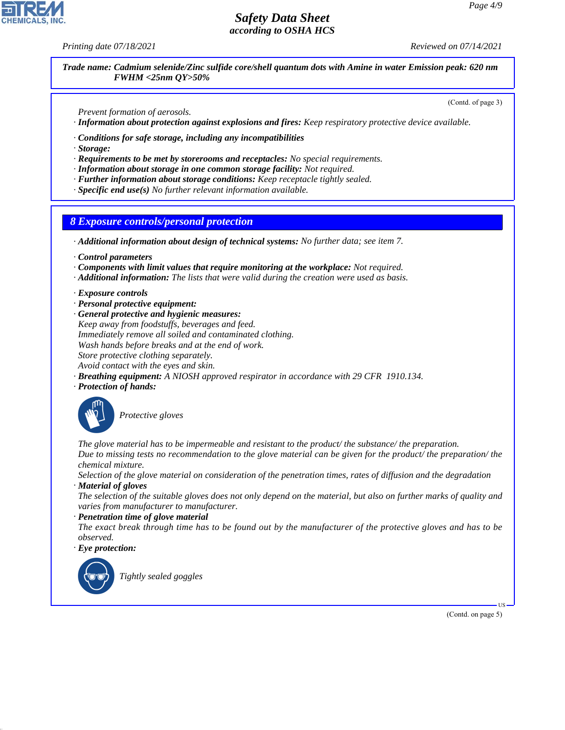*Printing date 07/18/2021 Reviewed on 07/14/2021*

*Trade name: Cadmium selenide/Zinc sulfide core/shell quantum dots with Amine in water Emission peak: 620 nm FWHM <25nm QY>50%*

(Contd. of page 3)

*Prevent formation of aerosols. · Information about protection against explosions and fires: Keep respiratory protective device available.*

- *· Conditions for safe storage, including any incompatibilities*
- *· Storage:*
- *· Requirements to be met by storerooms and receptacles: No special requirements.*
- *· Information about storage in one common storage facility: Not required.*
- *· Further information about storage conditions: Keep receptacle tightly sealed.*
- *· Specific end use(s) No further relevant information available.*

### *8 Exposure controls/personal protection*

*· Additional information about design of technical systems: No further data; see item 7.*

- *· Control parameters*
- *· Components with limit values that require monitoring at the workplace: Not required.*
- *· Additional information: The lists that were valid during the creation were used as basis.*

#### *· Exposure controls*

- *· Personal protective equipment:*
- *· General protective and hygienic measures: Keep away from foodstuffs, beverages and feed. Immediately remove all soiled and contaminated clothing. Wash hands before breaks and at the end of work. Store protective clothing separately. Avoid contact with the eyes and skin.*
- *· Breathing equipment: A NIOSH approved respirator in accordance with 29 CFR 1910.134.*
- *· Protection of hands:*



\_S*Protective gloves*

*The glove material has to be impermeable and resistant to the product/ the substance/ the preparation. Due to missing tests no recommendation to the glove material can be given for the product/ the preparation/ the chemical mixture.*

*Selection of the glove material on consideration of the penetration times, rates of diffusion and the degradation · Material of gloves*

*The selection of the suitable gloves does not only depend on the material, but also on further marks of quality and varies from manufacturer to manufacturer.*

#### *· Penetration time of glove material*

*The exact break through time has to be found out by the manufacturer of the protective gloves and has to be observed.*

*· Eye protection:*



44.1.1

\_R*Tightly sealed goggles*

(Contd. on page 5)

US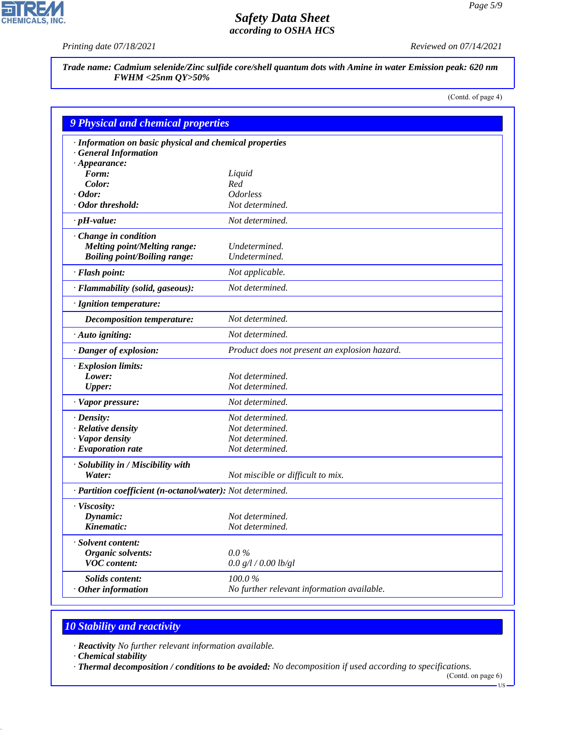$\overline{\mathbf{r}}$ 

**CHEMICALS, INC.** 

*Printing date 07/18/2021 Reviewed on 07/14/2021*

*Trade name: Cadmium selenide/Zinc sulfide core/shell quantum dots with Amine in water Emission peak: 620 nm FWHM <25nm QY>50%*

(Contd. of page 4)

| <b>9 Physical and chemical properties</b>                  |                                               |  |
|------------------------------------------------------------|-----------------------------------------------|--|
| · Information on basic physical and chemical properties    |                                               |  |
| · General Information                                      |                                               |  |
| $\cdot$ Appearance:                                        |                                               |  |
| Form:                                                      | Liquid                                        |  |
| Color:                                                     | Red                                           |  |
| $\cdot$ Odor:                                              | <i><u><b>Odorless</b></u></i>                 |  |
| · Odor threshold:                                          | Not determined.                               |  |
| $\cdot$ pH-value:                                          | Not determined.                               |  |
| Change in condition                                        |                                               |  |
| <b>Melting point/Melting range:</b>                        | Undetermined.                                 |  |
| <b>Boiling point/Boiling range:</b>                        | Undetermined.                                 |  |
| · Flash point:                                             | Not applicable.                               |  |
| · Flammability (solid, gaseous):                           | Not determined.                               |  |
| · Ignition temperature:                                    |                                               |  |
| Decomposition temperature:                                 | Not determined.                               |  |
| $\cdot$ Auto igniting:                                     | Not determined.                               |  |
| · Danger of explosion:                                     | Product does not present an explosion hazard. |  |
| · Explosion limits:                                        |                                               |  |
| Lower:                                                     | Not determined.                               |  |
| <b>Upper:</b>                                              | Not determined.                               |  |
| · Vapor pressure:                                          | Not determined.                               |  |
| $\cdot$ Density:                                           | Not determined.                               |  |
| · Relative density                                         | Not determined.                               |  |
| · Vapor density                                            | Not determined.                               |  |
| $\cdot$ Evaporation rate                                   | Not determined.                               |  |
| · Solubility in / Miscibility with                         |                                               |  |
| Water:                                                     | Not miscible or difficult to mix.             |  |
| · Partition coefficient (n-octanol/water): Not determined. |                                               |  |
| · Viscosity:                                               |                                               |  |
| Dynamic:                                                   | Not determined.                               |  |
| Kinematic:                                                 | Not determined.                               |  |
| · Solvent content:                                         |                                               |  |
| Organic solvents:                                          | $0.0\%$                                       |  |
| <b>VOC</b> content:                                        | 0.0 g/l / 0.00 lb/gl                          |  |
| Solids content:                                            | 100.0%                                        |  |
| $\cdot$ Other information                                  | No further relevant information available.    |  |

# *10 Stability and reactivity*

*· Reactivity No further relevant information available.*

*· Chemical stability*

44.1.1

*· Thermal decomposition / conditions to be avoided: No decomposition if used according to specifications.*

<sup>(</sup>Contd. on page 6)  $-US$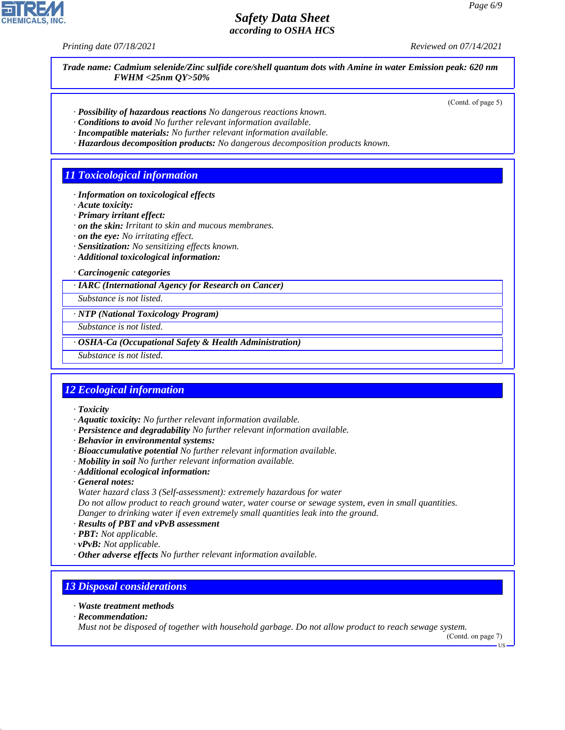*Printing date 07/18/2021 Reviewed on 07/14/2021*

*Trade name: Cadmium selenide/Zinc sulfide core/shell quantum dots with Amine in water Emission peak: 620 nm FWHM <25nm QY>50%*

(Contd. of page 5)

- *· Possibility of hazardous reactions No dangerous reactions known.*
- *· Conditions to avoid No further relevant information available.*
- *· Incompatible materials: No further relevant information available.*
- *· Hazardous decomposition products: No dangerous decomposition products known.*

### *11 Toxicological information*

- *· Information on toxicological effects*
- *· Acute toxicity:*
- *· Primary irritant effect:*
- *· on the skin: Irritant to skin and mucous membranes.*
- *· on the eye: No irritating effect.*
- *· Sensitization: No sensitizing effects known.*
- *· Additional toxicological information:*

*· Carcinogenic categories*

*· IARC (International Agency for Research on Cancer)*

*Substance is not listed.*

*· NTP (National Toxicology Program)*

*Substance is not listed.*

*· OSHA-Ca (Occupational Safety & Health Administration)*

*Substance is not listed.*

## *12 Ecological information*

*· Toxicity*

- *· Aquatic toxicity: No further relevant information available.*
- *· Persistence and degradability No further relevant information available.*
- *· Behavior in environmental systems:*
- *· Bioaccumulative potential No further relevant information available.*
- *· Mobility in soil No further relevant information available.*
- *· Additional ecological information:*
- *· General notes:*
- *Water hazard class 3 (Self-assessment): extremely hazardous for water*

*Do not allow product to reach ground water, water course or sewage system, even in small quantities. Danger to drinking water if even extremely small quantities leak into the ground.*

- *· Results of PBT and vPvB assessment*
- *· PBT: Not applicable.*
- *· vPvB: Not applicable.*
- *· Other adverse effects No further relevant information available.*

### *13 Disposal considerations*

- *· Waste treatment methods*
- *· Recommendation:*

44.1.1

*Must not be disposed of together with household garbage. Do not allow product to reach sewage system.*

(Contd. on page 7) US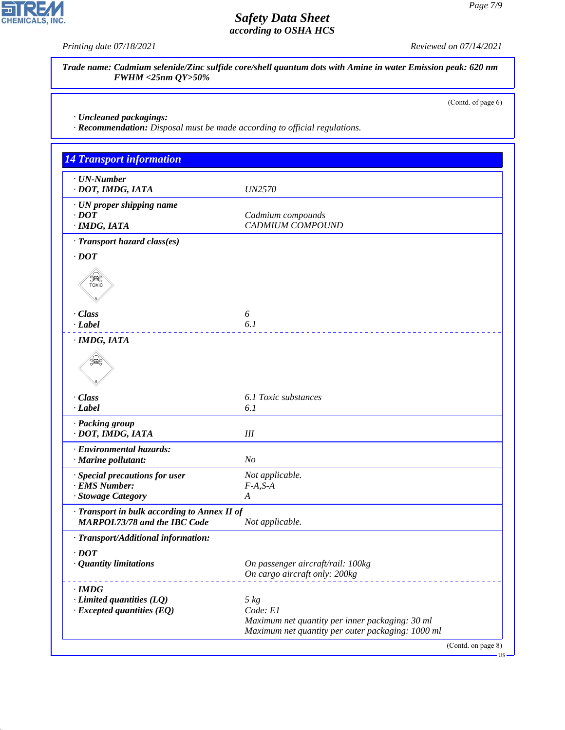CHEMICALS, INC.

*Printing date 07/18/2021 Reviewed on 07/14/2021*

*Trade name: Cadmium selenide/Zinc sulfide core/shell quantum dots with Amine in water Emission peak: 620 nm FWHM <25nm QY>50%*

(Contd. of page 6)

*· Uncleaned packagings:*

44.1.1

*· Recommendation: Disposal must be made according to official regulations.*

| <b>14 Transport information</b>                                                     |                                                                    |
|-------------------------------------------------------------------------------------|--------------------------------------------------------------------|
| $\cdot$ UN-Number<br>· DOT, IMDG, IATA                                              | <b>UN2570</b>                                                      |
| · UN proper shipping name<br>$\cdot$ DOT<br>· IMDG, IATA                            | Cadmium compounds<br><b>CADMIUM COMPOUND</b>                       |
| · Transport hazard class(es)                                                        |                                                                    |
| $\cdot$ DOT                                                                         |                                                                    |
| <b>SEE</b>                                                                          |                                                                    |
| $\cdot$ Class                                                                       | 6                                                                  |
| · Label                                                                             | 6.1                                                                |
| · IMDG, IATA                                                                        |                                                                    |
|                                                                                     |                                                                    |
| · Class                                                                             | 6.1 Toxic substances                                               |
| $-Label$                                                                            | 6.1                                                                |
| · Packing group<br>· DOT, IMDG, IATA                                                | III                                                                |
| · Environmental hazards:<br>· Marine pollutant:                                     | N <sub>O</sub>                                                     |
| · Special precautions for user                                                      | Not applicable.                                                    |
| · EMS Number:<br>· Stowage Category                                                 | $F-A, S-A$<br>A                                                    |
|                                                                                     |                                                                    |
| · Transport in bulk according to Annex II of<br><b>MARPOL73/78 and the IBC Code</b> | Not applicable.                                                    |
| · Transport/Additional information:                                                 |                                                                    |
| $\cdot$ DOT                                                                         |                                                                    |
| <b>Quantity limitations</b>                                                         | On passenger aircraft/rail: 100kg<br>On cargo aircraft only: 200kg |
| $\cdot$ IMDG                                                                        |                                                                    |
| $\cdot$ Limited quantities (LQ)                                                     | $5 \ kg$                                                           |
| $\cdot$ Excepted quantities (EQ)                                                    | Code: E1<br>Maximum net quantity per inner packaging: 30 ml        |
|                                                                                     | Maximum net quantity per outer packaging: 1000 ml                  |

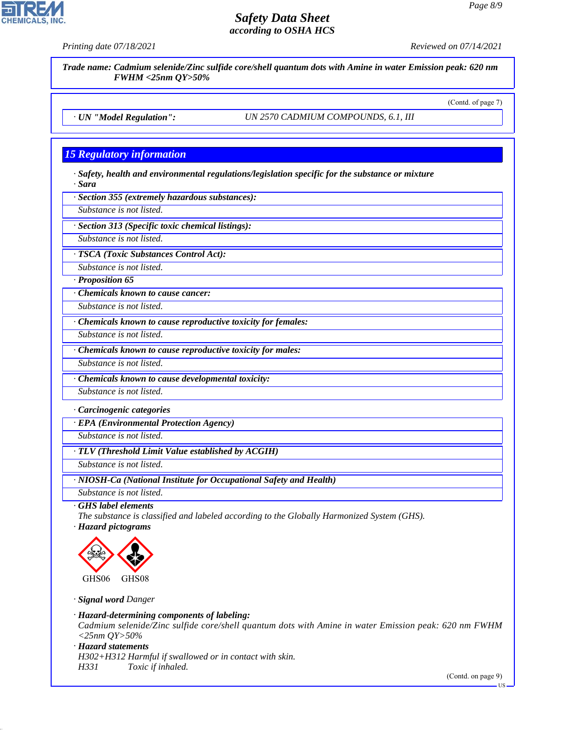

*· GHS label elements*

*The substance is classified and labeled according to the Globally Harmonized System (GHS).*

*· Hazard pictograms*



*· Signal word Danger*

*· Hazard-determining components of labeling:*

*Cadmium selenide/Zinc sulfide core/shell quantum dots with Amine in water Emission peak: 620 nm FWHM <25nm QY>50%*

*· Hazard statements*

44.1.1

*H302+H312 Harmful if swallowed or in contact with skin. H331 Toxic if inhaled.*

(Contd. on page 9)

US



*Printing date 07/18/2021 Reviewed on 07/14/2021*